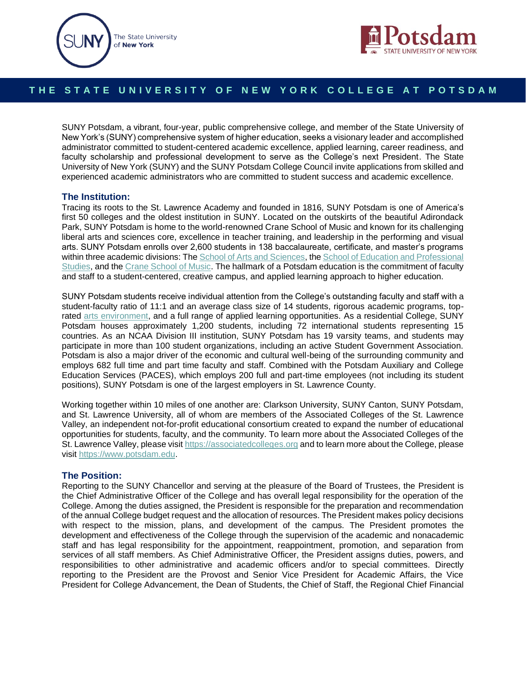



# THE STATE UNIVERSITY OF NEW YORK COLLEGE AT POTSDAM

SUNY Potsdam, a vibrant, four-year, public comprehensive college, and member of the State University of New York's (SUNY) comprehensive system of higher education, seeks a visionary leader and accomplished administrator committed to student-centered academic excellence, applied learning, career readiness, and faculty scholarship and professional development to serve as the College's next President. The State University of New York (SUNY) and the SUNY Potsdam College Council invite applications from skilled and experienced academic administrators who are committed to student success and academic excellence.

### **The Institution:**

Tracing its roots to the St. Lawrence Academy and founded in 1816, SUNY Potsdam is one of America's first 50 colleges and the oldest institution in SUNY. Located on the outskirts of the beautiful Adirondack Park, SUNY Potsdam is home to the world-renowned Crane School of Music and known for its challenging liberal arts and sciences core, excellence in teacher training, and leadership in the performing and visual arts. SUNY Potsdam enrolls over 2,600 students in 138 baccalaureate, certificate, and master's programs within three academic divisions: Th[e School of Arts and Sciences,](https://www.potsdam.edu/academics/aas) the School of Education and Professional [Studies,](https://www.potsdam.edu/academics/SOEPS) and the [Crane School of Music.](https://www.potsdam.edu/academics/crane-school-music) The hallmark of a Potsdam education is the commitment of faculty and staff to a student-centered, creative campus, and applied learning approach to higher education.

SUNY Potsdam students receive individual attention from the College's outstanding faculty and staff with a student-faculty ratio of 11:1 and an average class size of 14 students, rigorous academic programs, toprated [arts environment,](https://www.potsdam.edu/about/our-campus/creative-campus) and a full range of applied learning opportunities. As a residential College, SUNY Potsdam houses approximately 1,200 students, including 72 international students representing 15 countries. As an NCAA Division III institution, SUNY Potsdam has 19 varsity teams, and students may participate in more than 100 student organizations, including an active Student Government Association. Potsdam is also a major driver of the economic and cultural well-being of the surrounding community and employs 682 full time and part time faculty and staff. Combined with the Potsdam Auxiliary and College Education Services (PACES), which employs 200 full and part-time employees (not including its student positions), SUNY Potsdam is one of the largest employers in St. Lawrence County.

Working together within 10 miles of one another are: Clarkson University, SUNY Canton, SUNY Potsdam, and St. Lawrence University, all of whom are members of the Associated Colleges of the St. Lawrence Valley, an independent not-for-profit educational consortium created to expand the number of educational opportunities for students, faculty, and the community. To learn more about the Associated Colleges of the St. Lawrence Valley, please visit [https://associatedcolleges.org](https://associatedcolleges.org/) and to learn more about the College, please visit [https://www.potsdam.edu.](https://www.potsdam.edu/) 

### **The Position:**

Reporting to the SUNY Chancellor and serving at the pleasure of the Board of Trustees, the President is the Chief Administrative Officer of the College and has overall legal responsibility for the operation of the College. Among the duties assigned, the President is responsible for the preparation and recommendation of the annual College budget request and the allocation of resources. The President makes policy decisions with respect to the mission, plans, and development of the campus. The President promotes the development and effectiveness of the College through the supervision of the academic and nonacademic staff and has legal responsibility for the appointment, reappointment, promotion, and separation from services of all staff members. As Chief Administrative Officer, the President assigns duties, powers, and responsibilities to other administrative and academic officers and/or to special committees. Directly reporting to the President are the Provost and Senior Vice President for Academic Affairs, the Vice President for College Advancement, the Dean of Students, the Chief of Staff, the Regional Chief Financial